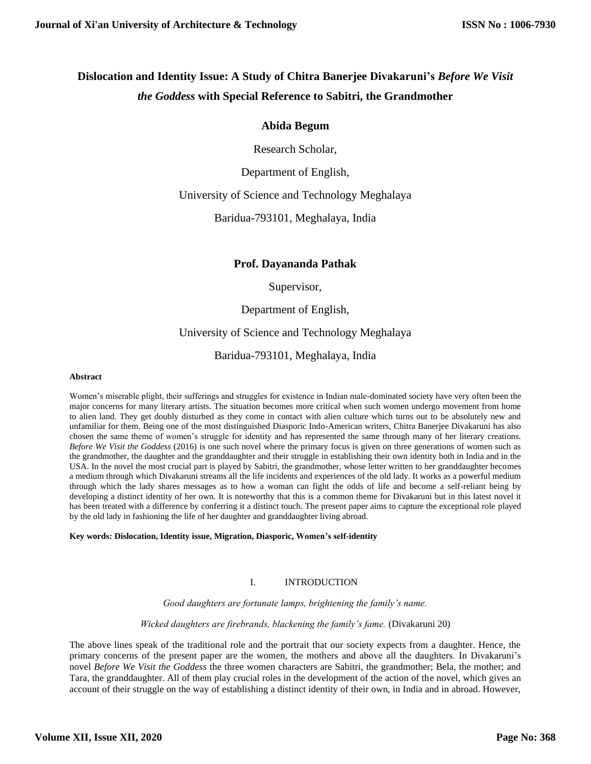# **Dislocation and Identity Issue: A Study of Chitra Banerjee Divakaruni's** *Before We Visit the Goddess* **with Special Reference to Sabitri, the Grandmother**

### **Abida Begum**

Research Scholar,

Department of English,

### University of Science and Technology Meghalaya

Baridua-793101, Meghalaya, India

# **Prof. Dayananda Pathak**

### Supervisor,

Department of English,

# University of Science and Technology Meghalaya

### Baridua-793101, Meghalaya, India

#### **Abstract**

Women's miserable plight, their sufferings and struggles for existence in Indian male-dominated society have very often been the major concerns for many literary artists. The situation becomes more critical when such women undergo movement from home to alien land. They get doubly disturbed as they come in contact with alien culture which turns out to be absolutely new and unfamiliar for them. Being one of the most distinguished Diasporic Indo-American writers, Chitra Banerjee Divakaruni has also chosen the same theme of women's struggle for identity and has represented the same through many of her literary creations. *Before We Visit the Goddess* (2016) is one such novel where the primary focus is given on three generations of women such as the grandmother, the daughter and the granddaughter and their struggle in establishing their own identity both in India and in the USA. In the novel the most crucial part is played by Sabitri, the grandmother, whose letter written to her granddaughter becomes a medium through which Divakaruni streams all the life incidents and experiences of the old lady. It works as a powerful medium through which the lady shares messages as to how a woman can fight the odds of life and become a self-reliant being by developing a distinct identity of her own. It is noteworthy that this is a common theme for Divakaruni but in this latest novel it has been treated with a difference by conferring it a distinct touch. The present paper aims to capture the exceptional role played by the old lady in fashioning the life of her daughter and granddaughter living abroad.

#### **Key words: Dislocation, Identity issue, Migration, Diasporic, Women's self-identity**

### I. INTRODUCTION

*Good daughters are fortunate lamps, brightening the family's name.*

*Wicked daughters are firebrands, blackening the family's fame.* (Divakaruni 20)

The above lines speak of the traditional role and the portrait that our society expects from a daughter. Hence, the primary concerns of the present paper are the women, the mothers and above all the daughters. In Divakaruni's novel *Before We Visit the Goddess* the three women characters are Sabitri, the grandmother; Bela, the mother; and Tara, the granddaughter. All of them play crucial roles in the development of the action of the novel, which gives an account of their struggle on the way of establishing a distinct identity of their own, in India and in abroad. However,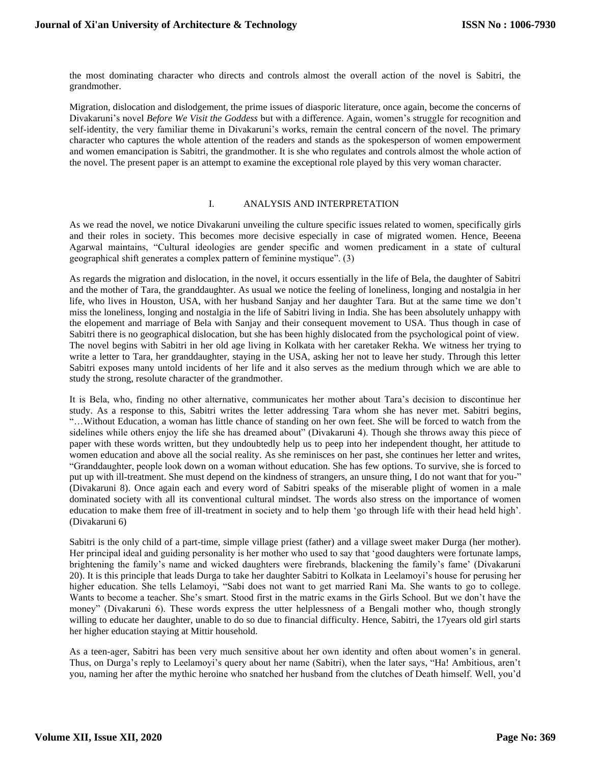the most dominating character who directs and controls almost the overall action of the novel is Sabitri, the grandmother.

Migration, dislocation and dislodgement, the prime issues of diasporic literature, once again, become the concerns of Divakaruni's novel *Before We Visit the Goddess* but with a difference. Again, women's struggle for recognition and self-identity, the very familiar theme in Divakaruni's works, remain the central concern of the novel. The primary character who captures the whole attention of the readers and stands as the spokesperson of women empowerment and women emancipation is Sabitri, the grandmother. It is she who regulates and controls almost the whole action of the novel. The present paper is an attempt to examine the exceptional role played by this very woman character.

#### I. ANALYSIS AND INTERPRETATION

As we read the novel, we notice Divakaruni unveiling the culture specific issues related to women, specifically girls and their roles in society. This becomes more decisive especially in case of migrated women. Hence, Beeena Agarwal maintains, "Cultural ideologies are gender specific and women predicament in a state of cultural geographical shift generates a complex pattern of feminine mystique". (3)

As regards the migration and dislocation, in the novel, it occurs essentially in the life of Bela, the daughter of Sabitri and the mother of Tara, the granddaughter. As usual we notice the feeling of loneliness, longing and nostalgia in her life, who lives in Houston, USA, with her husband Sanjay and her daughter Tara. But at the same time we don't miss the loneliness, longing and nostalgia in the life of Sabitri living in India. She has been absolutely unhappy with the elopement and marriage of Bela with Sanjay and their consequent movement to USA. Thus though in case of Sabitri there is no geographical dislocation, but she has been highly dislocated from the psychological point of view. The novel begins with Sabitri in her old age living in Kolkata with her caretaker Rekha. We witness her trying to write a letter to Tara, her granddaughter, staying in the USA, asking her not to leave her study. Through this letter Sabitri exposes many untold incidents of her life and it also serves as the medium through which we are able to study the strong, resolute character of the grandmother.

It is Bela, who, finding no other alternative, communicates her mother about Tara's decision to discontinue her study. As a response to this, Sabitri writes the letter addressing Tara whom she has never met. Sabitri begins, "…Without Education, a woman has little chance of standing on her own feet. She will be forced to watch from the sidelines while others enjoy the life she has dreamed about" (Divakaruni 4). Though she throws away this piece of paper with these words written, but they undoubtedly help us to peep into her independent thought, her attitude to women education and above all the social reality. As she reminisces on her past, she continues her letter and writes, "Granddaughter, people look down on a woman without education. She has few options. To survive, she is forced to put up with ill-treatment. She must depend on the kindness of strangers, an unsure thing, I do not want that for you-" (Divakaruni 8). Once again each and every word of Sabitri speaks of the miserable plight of women in a male dominated society with all its conventional cultural mindset. The words also stress on the importance of women education to make them free of ill-treatment in society and to help them 'go through life with their head held high'. (Divakaruni 6)

Sabitri is the only child of a part-time, simple village priest (father) and a village sweet maker Durga (her mother). Her principal ideal and guiding personality is her mother who used to say that 'good daughters were fortunate lamps, brightening the family's name and wicked daughters were firebrands, blackening the family's fame' (Divakaruni 20). It is this principle that leads Durga to take her daughter Sabitri to Kolkata in Leelamoyi's house for perusing her higher education. She tells Lelamoyi, "Sabi does not want to get married Rani Ma. She wants to go to college. Wants to become a teacher. She's smart. Stood first in the matric exams in the Girls School. But we don't have the money" (Divakaruni 6). These words express the utter helplessness of a Bengali mother who, though strongly willing to educate her daughter, unable to do so due to financial difficulty. Hence, Sabitri, the 17years old girl starts her higher education staying at Mittir household.

As a teen-ager, Sabitri has been very much sensitive about her own identity and often about women's in general. Thus, on Durga's reply to Leelamoyi's query about her name (Sabitri), when the later says, "Ha! Ambitious, aren't you, naming her after the mythic heroine who snatched her husband from the clutches of Death himself. Well, you'd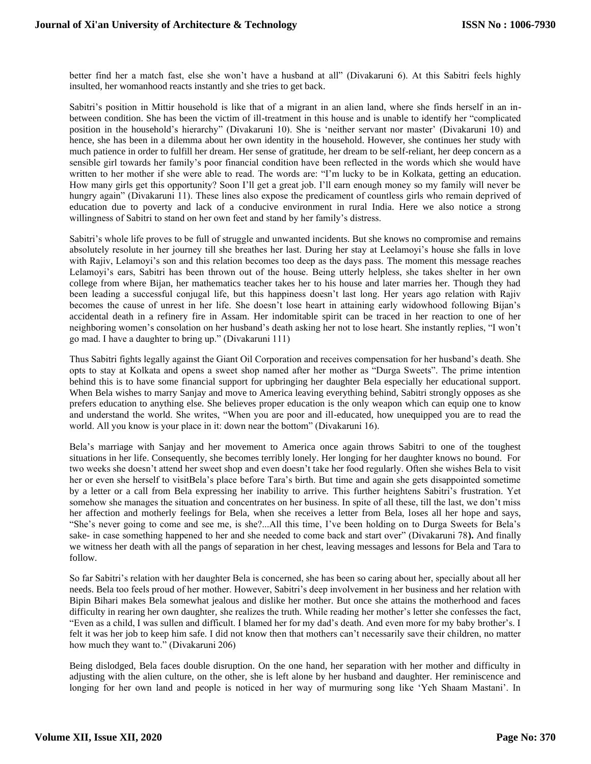better find her a match fast, else she won't have a husband at all" (Divakaruni 6). At this Sabitri feels highly insulted, her womanhood reacts instantly and she tries to get back.

Sabitri's position in Mittir household is like that of a migrant in an alien land, where she finds herself in an inbetween condition. She has been the victim of ill-treatment in this house and is unable to identify her "complicated position in the household's hierarchy" (Divakaruni 10). She is 'neither servant nor master' (Divakaruni 10) and hence, she has been in a dilemma about her own identity in the household. However, she continues her study with much patience in order to fulfill her dream. Her sense of gratitude, her dream to be self-reliant, her deep concern as a sensible girl towards her family's poor financial condition have been reflected in the words which she would have written to her mother if she were able to read. The words are: "I'm lucky to be in Kolkata, getting an education. How many girls get this opportunity? Soon I'll get a great job. I'll earn enough money so my family will never be hungry again" (Divakaruni 11). These lines also expose the predicament of countless girls who remain deprived of education due to poverty and lack of a conducive environment in rural India. Here we also notice a strong willingness of Sabitri to stand on her own feet and stand by her family's distress.

Sabitri's whole life proves to be full of struggle and unwanted incidents. But she knows no compromise and remains absolutely resolute in her journey till she breathes her last. During her stay at Leelamoyi's house she falls in love with Rajiv, Lelamoyi's son and this relation becomes too deep as the days pass. The moment this message reaches Lelamoyi's ears, Sabitri has been thrown out of the house. Being utterly helpless, she takes shelter in her own college from where Bijan, her mathematics teacher takes her to his house and later marries her. Though they had been leading a successful conjugal life, but this happiness doesn't last long. Her years ago relation with Rajiv becomes the cause of unrest in her life. She doesn't lose heart in attaining early widowhood following Bijan's accidental death in a refinery fire in Assam. Her indomitable spirit can be traced in her reaction to one of her neighboring women's consolation on her husband's death asking her not to lose heart. She instantly replies, "I won't go mad. I have a daughter to bring up." (Divakaruni 111)

Thus Sabitri fights legally against the Giant Oil Corporation and receives compensation for her husband's death. She opts to stay at Kolkata and opens a sweet shop named after her mother as "Durga Sweets". The prime intention behind this is to have some financial support for upbringing her daughter Bela especially her educational support. When Bela wishes to marry Sanjay and move to America leaving everything behind, Sabitri strongly opposes as she prefers education to anything else. She believes proper education is the only weapon which can equip one to know and understand the world. She writes, "When you are poor and ill-educated, how unequipped you are to read the world. All you know is your place in it: down near the bottom" (Divakaruni 16).

Bela's marriage with Sanjay and her movement to America once again throws Sabitri to one of the toughest situations in her life. Consequently, she becomes terribly lonely. Her longing for her daughter knows no bound. For two weeks she doesn't attend her sweet shop and even doesn't take her food regularly. Often she wishes Bela to visit her or even she herself to visitBela's place before Tara's birth. But time and again she gets disappointed sometime by a letter or a call from Bela expressing her inability to arrive. This further heightens Sabitri's frustration. Yet somehow she manages the situation and concentrates on her business. In spite of all these, till the last, we don't miss her affection and motherly feelings for Bela, when she receives a letter from Bela, loses all her hope and says, "She's never going to come and see me, is she?...All this time, I've been holding on to Durga Sweets for Bela's sake- in case something happened to her and she needed to come back and start over" (Divakaruni 78**).** And finally we witness her death with all the pangs of separation in her chest, leaving messages and lessons for Bela and Tara to follow.

So far Sabitri's relation with her daughter Bela is concerned, she has been so caring about her, specially about all her needs. Bela too feels proud of her mother. However, Sabitri's deep involvement in her business and her relation with Bipin Bihari makes Bela somewhat jealous and dislike her mother. But once she attains the motherhood and faces difficulty in rearing her own daughter, she realizes the truth. While reading her mother's letter she confesses the fact, "Even as a child, I was sullen and difficult. I blamed her for my dad's death. And even more for my baby brother's. I felt it was her job to keep him safe. I did not know then that mothers can't necessarily save their children, no matter how much they want to." (Divakaruni 206)

Being dislodged, Bela faces double disruption. On the one hand, her separation with her mother and difficulty in adjusting with the alien culture, on the other, she is left alone by her husband and daughter. Her reminiscence and longing for her own land and people is noticed in her way of murmuring song like 'Yeh Shaam Mastani'. In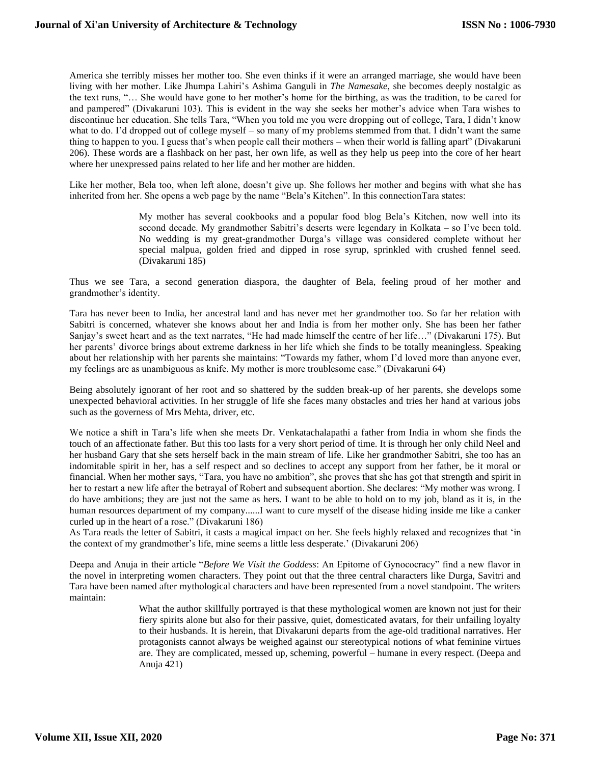America she terribly misses her mother too. She even thinks if it were an arranged marriage, she would have been living with her mother. Like Jhumpa Lahiri's Ashima Ganguli in *The Namesake*, she becomes deeply nostalgic as the text runs, "… She would have gone to her mother's home for the birthing, as was the tradition, to be cared for and pampered" (Divakaruni 103). This is evident in the way she seeks her mother's advice when Tara wishes to discontinue her education. She tells Tara, "When you told me you were dropping out of college, Tara, I didn't know what to do. I'd dropped out of college myself – so many of my problems stemmed from that. I didn't want the same thing to happen to you. I guess that's when people call their mothers – when their world is falling apart" (Divakaruni 206). These words are a flashback on her past, her own life, as well as they help us peep into the core of her heart where her unexpressed pains related to her life and her mother are hidden.

Like her mother, Bela too, when left alone, doesn't give up. She follows her mother and begins with what she has inherited from her. She opens a web page by the name "Bela's Kitchen". In this connectionTara states:

> My mother has several cookbooks and a popular food blog Bela's Kitchen, now well into its second decade. My grandmother Sabitri's deserts were legendary in Kolkata – so I've been told. No wedding is my great-grandmother Durga's village was considered complete without her special malpua, golden fried and dipped in rose syrup, sprinkled with crushed fennel seed. (Divakaruni 185)

Thus we see Tara, a second generation diaspora, the daughter of Bela, feeling proud of her mother and grandmother's identity.

Tara has never been to India, her ancestral land and has never met her grandmother too. So far her relation with Sabitri is concerned, whatever she knows about her and India is from her mother only. She has been her father Sanjay's sweet heart and as the text narrates, "He had made himself the centre of her life…" (Divakaruni 175). But her parents' divorce brings about extreme darkness in her life which she finds to be totally meaningless. Speaking about her relationship with her parents she maintains: "Towards my father, whom I'd loved more than anyone ever, my feelings are as unambiguous as knife. My mother is more troublesome case." (Divakaruni 64)

Being absolutely ignorant of her root and so shattered by the sudden break-up of her parents, she develops some unexpected behavioral activities. In her struggle of life she faces many obstacles and tries her hand at various jobs such as the governess of Mrs Mehta, driver, etc.

We notice a shift in Tara's life when she meets Dr. Venkatachalapathi a father from India in whom she finds the touch of an affectionate father. But this too lasts for a very short period of time. It is through her only child Neel and her husband Gary that she sets herself back in the main stream of life. Like her grandmother Sabitri, she too has an indomitable spirit in her, has a self respect and so declines to accept any support from her father, be it moral or financial. When her mother says, "Tara, you have no ambition", she proves that she has got that strength and spirit in her to restart a new life after the betrayal of Robert and subsequent abortion. She declares: "My mother was wrong. I do have ambitions; they are just not the same as hers. I want to be able to hold on to my job, bland as it is, in the human resources department of my company......I want to cure myself of the disease hiding inside me like a canker curled up in the heart of a rose." (Divakaruni 186)

As Tara reads the letter of Sabitri, it casts a magical impact on her. She feels highly relaxed and recognizes that 'in the context of my grandmother's life, mine seems a little less desperate.' (Divakaruni 206)

Deepa and Anuja in their article "*Before We Visit the Goddess*: An Epitome of Gynococracy" find a new flavor in the novel in interpreting women characters. They point out that the three central characters like Durga, Savitri and Tara have been named after mythological characters and have been represented from a novel standpoint. The writers maintain:

> What the author skillfully portrayed is that these mythological women are known not just for their fiery spirits alone but also for their passive, quiet, domesticated avatars, for their unfailing loyalty to their husbands. It is herein, that Divakaruni departs from the age-old traditional narratives. Her protagonists cannot always be weighed against our stereotypical notions of what feminine virtues are. They are complicated, messed up, scheming, powerful – humane in every respect. (Deepa and Anuja 421)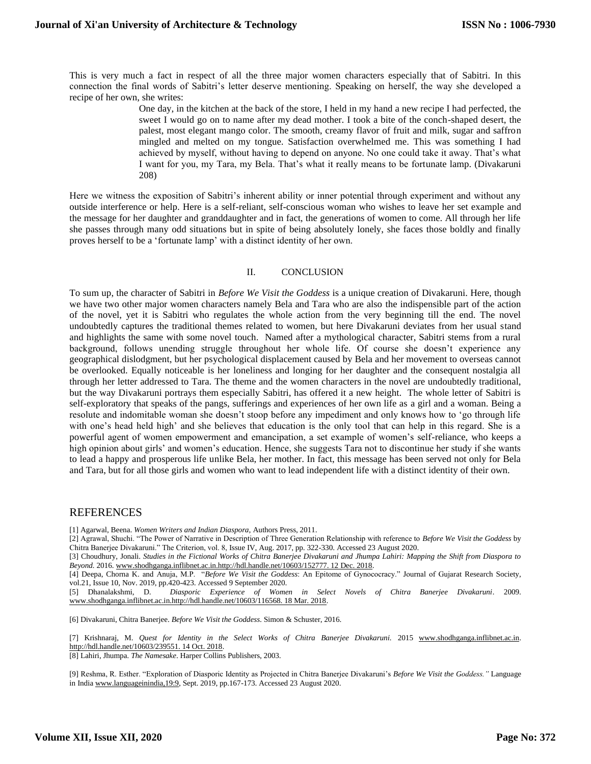This is very much a fact in respect of all the three major women characters especially that of Sabitri. In this connection the final words of Sabitri's letter deserve mentioning. Speaking on herself, the way she developed a recipe of her own, she writes:

> One day, in the kitchen at the back of the store, I held in my hand a new recipe I had perfected, the sweet I would go on to name after my dead mother. I took a bite of the conch-shaped desert, the palest, most elegant mango color. The smooth, creamy flavor of fruit and milk, sugar and saffron mingled and melted on my tongue. Satisfaction overwhelmed me. This was something I had achieved by myself, without having to depend on anyone. No one could take it away. That's what I want for you, my Tara, my Bela. That's what it really means to be fortunate lamp. (Divakaruni 208)

Here we witness the exposition of Sabitri's inherent ability or inner potential through experiment and without any outside interference or help. Here is a self-reliant, self-conscious woman who wishes to leave her set example and the message for her daughter and granddaughter and in fact, the generations of women to come. All through her life she passes through many odd situations but in spite of being absolutely lonely, she faces those boldly and finally proves herself to be a 'fortunate lamp' with a distinct identity of her own.

#### II. CONCLUSION

To sum up, the character of Sabitri in *Before We Visit the Goddess* is a unique creation of Divakaruni. Here, though we have two other major women characters namely Bela and Tara who are also the indispensible part of the action of the novel, yet it is Sabitri who regulates the whole action from the very beginning till the end. The novel undoubtedly captures the traditional themes related to women, but here Divakaruni deviates from her usual stand and highlights the same with some novel touch. Named after a mythological character, Sabitri stems from a rural background, follows unending struggle throughout her whole life. Of course she doesn't experience any geographical dislodgment, but her psychological displacement caused by Bela and her movement to overseas cannot be overlooked. Equally noticeable is her loneliness and longing for her daughter and the consequent nostalgia all through her letter addressed to Tara. The theme and the women characters in the novel are undoubtedly traditional, but the way Divakaruni portrays them especially Sabitri, has offered it a new height. The whole letter of Sabitri is self-exploratory that speaks of the pangs, sufferings and experiences of her own life as a girl and a woman. Being a resolute and indomitable woman she doesn't stoop before any impediment and only knows how to 'go through life with one's head held high' and she believes that education is the only tool that can help in this regard. She is a powerful agent of women empowerment and emancipation, a set example of women's self-reliance, who keeps a high opinion about girls' and women's education. Hence, she suggests Tara not to discontinue her study if she wants to lead a happy and prosperous life unlike Bela, her mother. In fact, this message has been served not only for Bela and Tara, but for all those girls and women who want to lead independent life with a distinct identity of their own.

### REFERENCES

[1] Agarwal, Beena. *Women Writers and Indian Diaspora,* Authors Press, 2011.

[2] Agrawal, Shuchi. "The Power of Narrative in Description of Three Generation Relationship with reference to *Before We Visit the Goddess* by Chitra Banerjee Divakaruni." The Criterion, vol. 8, Issue IV, Aug. 2017, pp. 322-330. Accessed 23 August 2020.

[3] Choudhury, Jonali. *Studies in the Fictional Works of Chitra Banerjee Divakaruni and Jhumpa Lahiri: Mapping the Shift from Diaspora to Beyond.* 2016[. www.shodhganga.inflibnet.ac.in.http://hdl.handle.net/10603/152777. 12 Dec. 2018.](http://www.shodhganga.inflibnet.ac.in.http/hdl.handle.net/10603/152777.%2012%20Dec.%202018)

[4] Deepa, Chorna K. and Anuja, M.P. "*Before We Visit the Goddess*: An Epitome of Gynococracy." Journal of Gujarat Research Society, vol.21, Issue 10, Nov. 2019, pp.420-423. Accessed 9 September 2020.

[5] Dhanalakshmi, D. *Diasporic Experience of Women in Select Novels of Chitra Banerjee Divakaruni.* 2009. [www.shodhganga.inflibnet.ac.in.http://hdl.handle.net/10603/116568. 18 Mar. 2018.](http://www.shodhganga.inflibnet.ac.in.http/hdl.handle.net/10603/116568.%2018%20Mar.%202018)

[6] Divakaruni, Chitra Banerjee. *Before We Visit the Goddess*. Simon & Schuster, 2016.

[7] Krishnaraj, M. *Quest for Identity in the Select Works of Chitra Banerjee Divakaruni.* 2015 [www.shodhganga.inflibnet.ac.in.](http://www.shodhganga.inflibnet.ac.in/) [http://hdl.handle.net/10603/239551. 14 Oct. 2018.](http://hdl.handle.net/10603/239551.%2014%20Oct.%202018)

[8] Lahiri, Jhumpa*. The Namesake*. Harper Collins Publishers, 2003.

[9] Reshma, R. Esther. "Exploration of Diasporic Identity as Projected in Chitra Banerjee Divakaruni's *Before We Visit the Goddess."* Language in Indi[a www.languageinindia,19:9,](http://www.languageinindia,19:9/) Sept. 2019, pp.167-173. Accessed 23 August 2020.